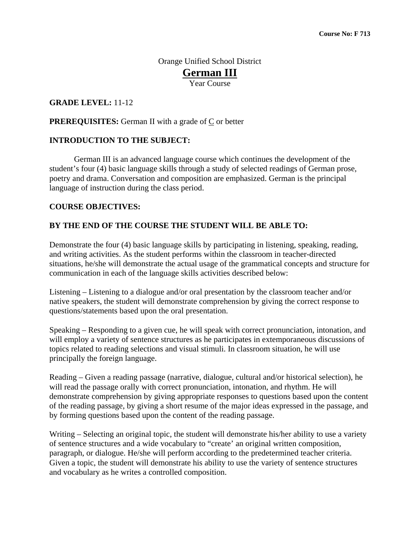Orange Unified School District **German III** Year Course

### **GRADE LEVEL:** 11-12

#### **PREREQUISITES:** German II with a grade of  $C$  or better

#### **INTRODUCTION TO THE SUBJECT:**

 German III is an advanced language course which continues the development of the student's four (4) basic language skills through a study of selected readings of German prose, poetry and drama. Conversation and composition are emphasized. German is the principal language of instruction during the class period.

#### **COURSE OBJECTIVES:**

#### **BY THE END OF THE COURSE THE STUDENT WILL BE ABLE TO:**

Demonstrate the four (4) basic language skills by participating in listening, speaking, reading, and writing activities. As the student performs within the classroom in teacher-directed situations, he/she will demonstrate the actual usage of the grammatical concepts and structure for communication in each of the language skills activities described below:

Listening – Listening to a dialogue and/or oral presentation by the classroom teacher and/or native speakers, the student will demonstrate comprehension by giving the correct response to questions/statements based upon the oral presentation.

Speaking – Responding to a given cue, he will speak with correct pronunciation, intonation, and will employ a variety of sentence structures as he participates in extemporaneous discussions of topics related to reading selections and visual stimuli. In classroom situation, he will use principally the foreign language.

Reading – Given a reading passage (narrative, dialogue, cultural and/or historical selection), he will read the passage orally with correct pronunciation, intonation, and rhythm. He will demonstrate comprehension by giving appropriate responses to questions based upon the content of the reading passage, by giving a short resume of the major ideas expressed in the passage, and by forming questions based upon the content of the reading passage.

Writing – Selecting an original topic, the student will demonstrate his/her ability to use a variety of sentence structures and a wide vocabulary to "create' an original written composition, paragraph, or dialogue. He/she will perform according to the predetermined teacher criteria. Given a topic, the student will demonstrate his ability to use the variety of sentence structures and vocabulary as he writes a controlled composition.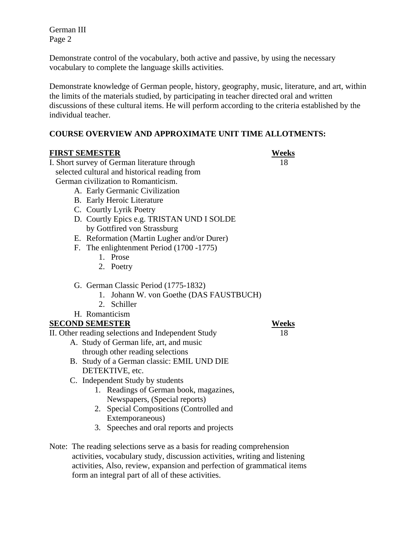German III Page 2

Demonstrate control of the vocabulary, both active and passive, by using the necessary vocabulary to complete the language skills activities.

Demonstrate knowledge of German people, history, geography, music, literature, and art, within the limits of the materials studied, by participating in teacher directed oral and written discussions of these cultural items. He will perform according to the criteria established by the individual teacher.

### **COURSE OVERVIEW AND APPROXIMATE UNIT TIME ALLOTMENTS:**

| <b>FIRST SEMESTER</b>                                                   | <b>Weeks</b> |
|-------------------------------------------------------------------------|--------------|
| I. Short survey of German literature through                            | 18           |
| selected cultural and historical reading from                           |              |
| German civilization to Romanticism.                                     |              |
| A. Early Germanic Civilization                                          |              |
| B. Early Heroic Literature                                              |              |
| C. Courtly Lyrik Poetry                                                 |              |
| D. Courtly Epics e.g. TRISTAN UND I SOLDE                               |              |
| by Gottfired von Strassburg                                             |              |
| E. Reformation (Martin Lugher and/or Durer)                             |              |
| F. The enlightenment Period (1700 - 1775)                               |              |
| 1. Prose                                                                |              |
| 2. Poetry                                                               |              |
| G. German Classic Period (1775-1832)                                    |              |
| Johann W. von Goethe (DAS FAUSTBUCH)<br>1.                              |              |
| Schiller<br>2.                                                          |              |
| H. Romanticism                                                          |              |
| <b>SECOND SEMESTER</b>                                                  | <b>Weeks</b> |
| II. Other reading selections and Independent Study                      | 18           |
| A. Study of German life, art, and music                                 |              |
| through other reading selections                                        |              |
| B. Study of a German classic: EMIL UND DIE                              |              |
| DETEKTIVE, etc.                                                         |              |
| C. Independent Study by students                                        |              |
| Readings of German book, magazines,<br>1.                               |              |
| Newspapers, (Special reports)                                           |              |
| Special Compositions (Controlled and<br>2.                              |              |
| Extemporaneous)                                                         |              |
| Speeches and oral reports and projects<br>3.                            |              |
| Note: The reading selections serve as a basis for reading comprehension |              |

 activities, vocabulary study, discussion activities, writing and listening activities, Also, review, expansion and perfection of grammatical items form an integral part of all of these activities.